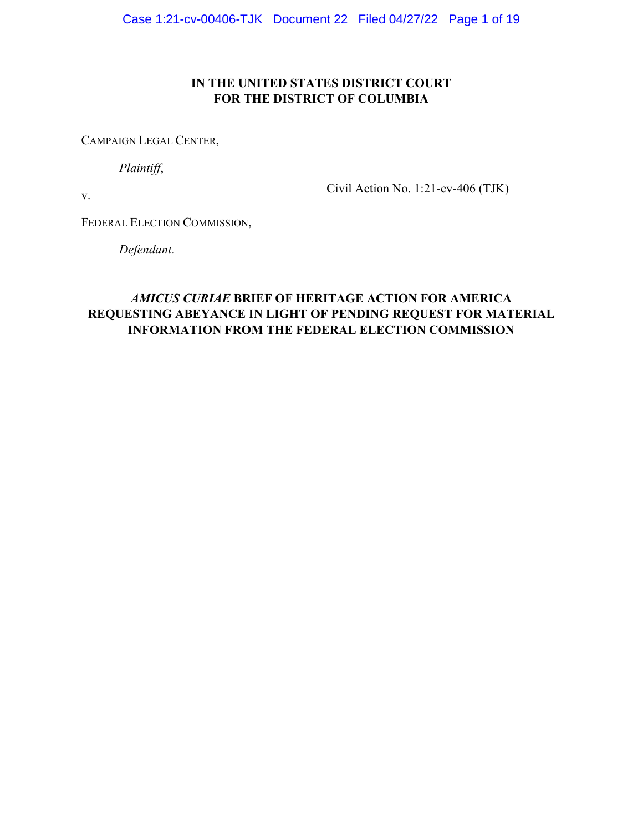### **IN THE UNITED STATES DISTRICT COURT FOR THE DISTRICT OF COLUMBIA**

<span id="page-0-0"></span>CAMPAIGN LEGAL CENTER,

*Plaintiff*,

v.

FEDERAL ELECTION COMMISSION,

*Defendant*.

### *AMICUS CURIAE* **BRIEF OF HERITAGE ACTION FOR AMERICA REQUESTING ABEYANCE IN LIGHT OF PENDING REQUEST FOR MATERIAL INFORMATION FROM THE FEDERAL ELECTION COMMISSION**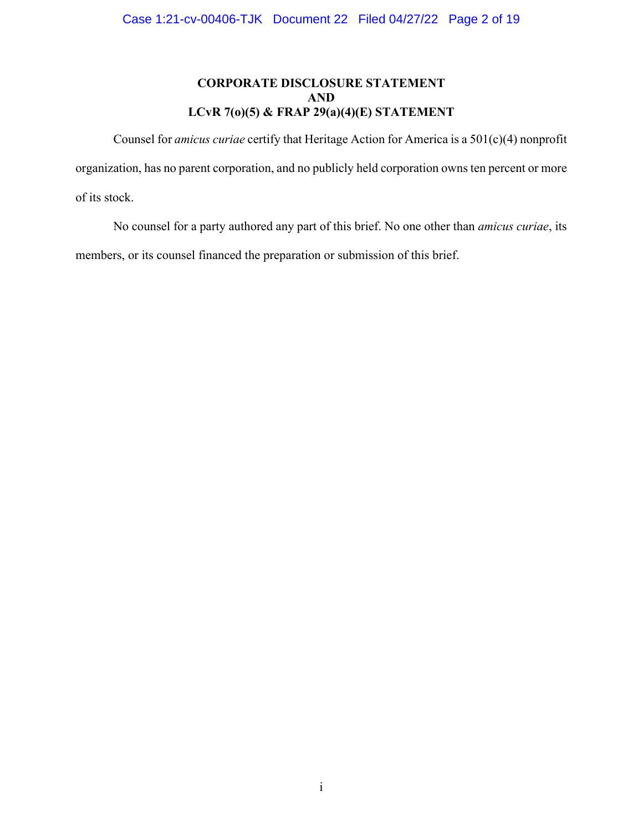### **CORPORATE DISCLOSURE STATEMENT AND LCvR 7(o)(5) & FRAP 29(a)(4)(E) STATEMENT**

<span id="page-1-0"></span> Counsel for *amicus curiae* certify that Heritage Action for America is a 501(c)(4) nonprofit organization, has no parent corporation, and no publicly held corporation owns ten percent or more of its stock.

No counsel for a party authored any part of this brief. No one other than *amicus curiae*, its members, or its counsel financed the preparation or submission of this brief.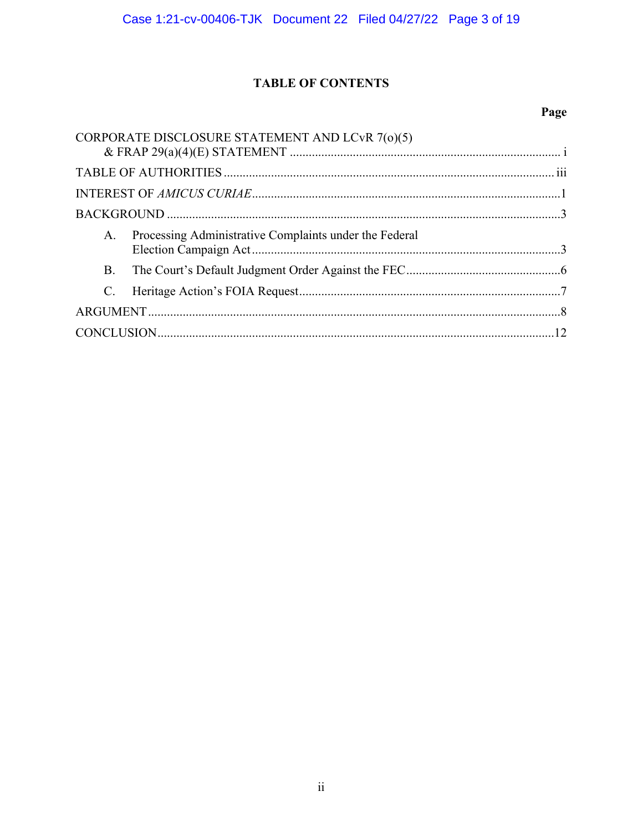# **TABLE OF CONTENTS**

# Page

|                 | CORPORATE DISCLOSURE STATEMENT AND LCvR 7(0)(5)        |  |
|-----------------|--------------------------------------------------------|--|
|                 |                                                        |  |
|                 |                                                        |  |
|                 |                                                        |  |
| A.              | Processing Administrative Complaints under the Federal |  |
| B.              |                                                        |  |
| $\mathcal{C}$ . |                                                        |  |
|                 |                                                        |  |
|                 |                                                        |  |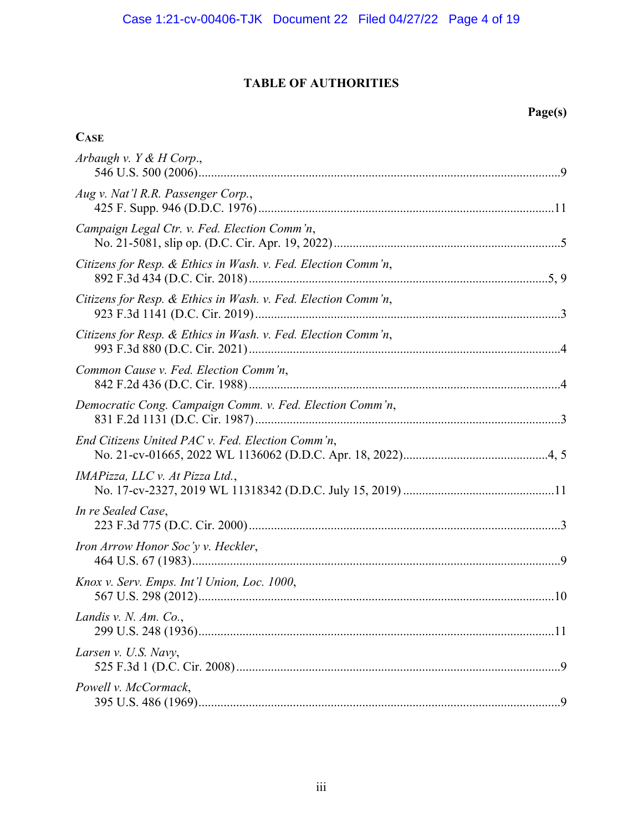# **TABLE OF AUTHORITIES**

# **Page(s)**

### <span id="page-3-0"></span>**CASE**

| Arbaugh v. $Y & H$ Corp.,                                     |
|---------------------------------------------------------------|
| Aug v. Nat'l R.R. Passenger Corp.,                            |
| Campaign Legal Ctr. v. Fed. Election Comm'n,                  |
| Citizens for Resp. & Ethics in Wash. v. Fed. Election Comm'n, |
| Citizens for Resp. & Ethics in Wash. v. Fed. Election Comm'n, |
| Citizens for Resp. & Ethics in Wash. v. Fed. Election Comm'n, |
| Common Cause v. Fed. Election Comm'n,                         |
| Democratic Cong. Campaign Comm. v. Fed. Election Comm'n,      |
| End Citizens United PAC v. Fed. Election Comm'n,              |
| IMAPizza, LLC v. At Pizza Ltd.,                               |
| In re Sealed Case,                                            |
| Iron Arrow Honor Soc'y v. Heckler,                            |
| Knox v. Serv. Emps. Int'l Union, Loc. 1000,                   |
| Landis v. N. Am. Co.,                                         |
| Larsen v. U.S. Navy,                                          |
| Powell v. McCormack,                                          |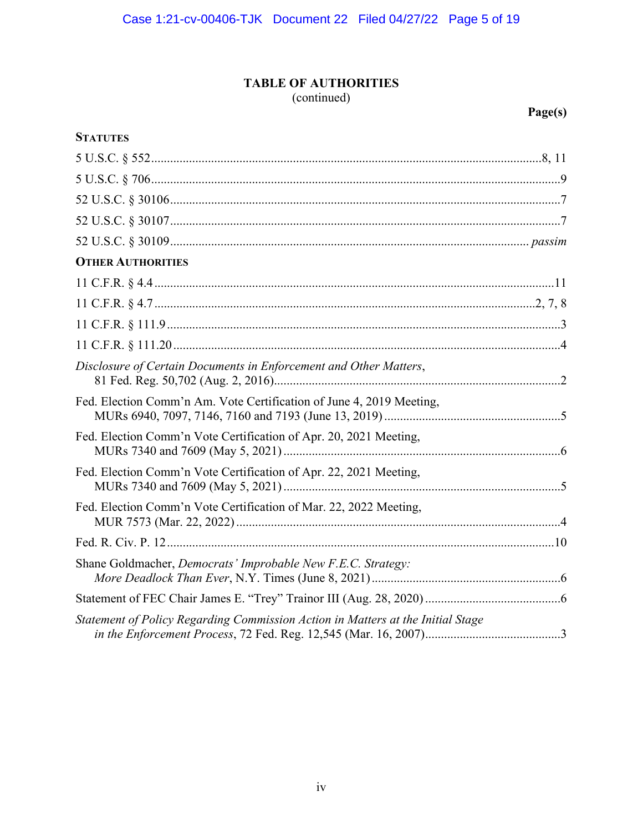# **TABLE OF AUTHORITIES**

(continued)

**Page(s)** 

| <b>STATUTES</b>                                                                 |
|---------------------------------------------------------------------------------|
|                                                                                 |
|                                                                                 |
|                                                                                 |
|                                                                                 |
|                                                                                 |
| <b>OTHER AUTHORITIES</b>                                                        |
|                                                                                 |
|                                                                                 |
|                                                                                 |
|                                                                                 |
| Disclosure of Certain Documents in Enforcement and Other Matters,               |
| Fed. Election Comm'n Am. Vote Certification of June 4, 2019 Meeting,            |
| Fed. Election Comm'n Vote Certification of Apr. 20, 2021 Meeting,               |
| Fed. Election Comm'n Vote Certification of Apr. 22, 2021 Meeting,               |
| Fed. Election Comm'n Vote Certification of Mar. 22, 2022 Meeting,               |
|                                                                                 |
| Shane Goldmacher, Democrats' Improbable New F.E.C. Strategy:                    |
|                                                                                 |
| Statement of Policy Regarding Commission Action in Matters at the Initial Stage |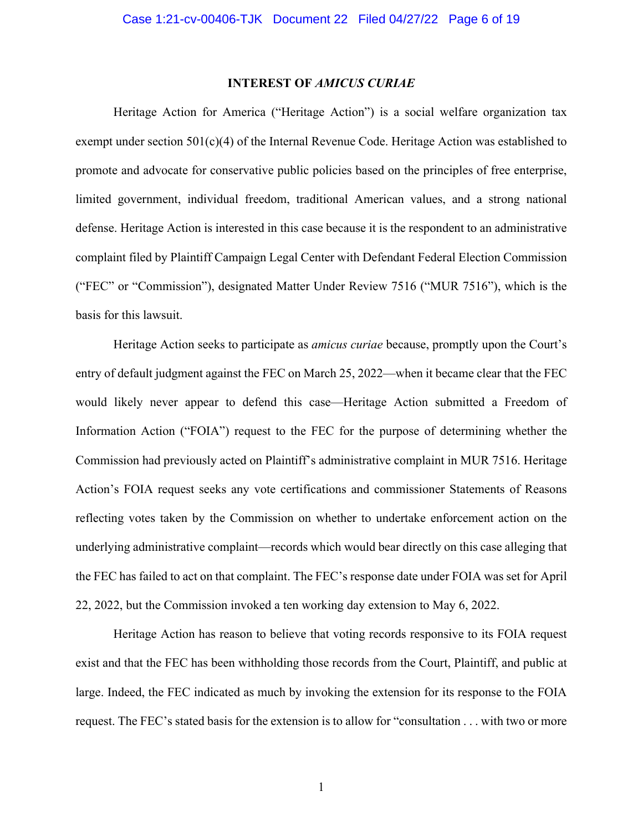#### **INTEREST OF** *AMICUS CURIAE*

<span id="page-5-0"></span>Heritage Action for America ("Heritage Action") is a social welfare organization tax exempt under section  $501(c)(4)$  of the Internal Revenue Code. Heritage Action was established to promote and advocate for conservative public policies based on the principles of free enterprise, limited government, individual freedom, traditional American values, and a strong national defense. Heritage Action is interested in this case because it is the respondent to an administrative complaint filed by Plaintiff Campaign Legal Center with Defendant Federal Election Commission ("FEC" or "Commission"), designated Matter Under Review 7516 ("MUR 7516"), which is the basis for this lawsuit.

Heritage Action seeks to participate as *amicus curiae* because, promptly upon the Court's entry of default judgment against the FEC on March 25, 2022—when it became clear that the FEC would likely never appear to defend this case—Heritage Action submitted a Freedom of Information Action ("FOIA") request to the FEC for the purpose of determining whether the Commission had previously acted on Plaintiff's administrative complaint in MUR 7516. Heritage Action's FOIA request seeks any vote certifications and commissioner Statements of Reasons reflecting votes taken by the Commission on whether to undertake enforcement action on the underlying administrative complaint—records which would bear directly on this case alleging that the FEC has failed to act on that complaint. The FEC's response date under FOIA was set for April 22, 2022, but the Commission invoked a ten working day extension to May 6, 2022.

Heritage Action has reason to believe that voting records responsive to its FOIA request exist and that the FEC has been withholding those records from the Court, Plaintiff, and public at large. Indeed, the FEC indicated as much by invoking the extension for its response to the FOIA request. The FEC's stated basis for the extension is to allow for "consultation . . . with two or more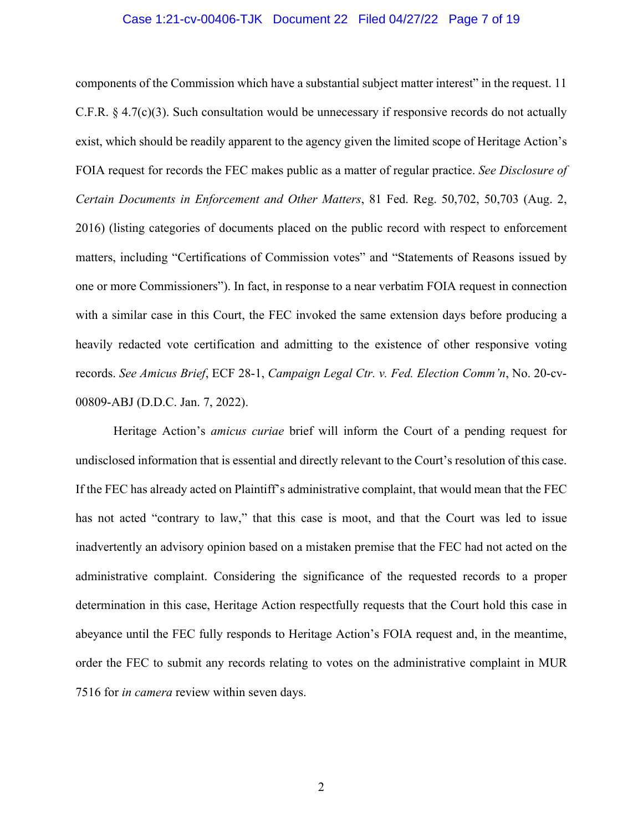#### Case 1:21-cv-00406-TJK Document 22 Filed 04/27/22 Page 7 of 19

<span id="page-6-0"></span>components of the Commission which have a substantial subject matter interest" in the request. 11 C.F.R. § 4.7(c)(3). Such consultation would be unnecessary if responsive records do not actually exist, which should be readily apparent to the agency given the limited scope of Heritage Action's FOIA request for records the FEC makes public as a matter of regular practice. *See Disclosure of Certain Documents in Enforcement and Other Matters*, 81 Fed. Reg. 50,702, 50,703 (Aug. 2, 2016) (listing categories of documents placed on the public record with respect to enforcement matters, including "Certifications of Commission votes" and "Statements of Reasons issued by one or more Commissioners"). In fact, in response to a near verbatim FOIA request in connection with a similar case in this Court, the FEC invoked the same extension days before producing a heavily redacted vote certification and admitting to the existence of other responsive voting records. *See Amicus Brief*, ECF 28-1, *Campaign Legal Ctr. v. Fed. Election Comm'n*, No. 20-cv-00809-ABJ (D.D.C. Jan. 7, 2022).

 Heritage Action's *amicus curiae* brief will inform the Court of a pending request for undisclosed information that is essential and directly relevant to the Court's resolution of this case. If the FEC has already acted on Plaintiff's administrative complaint, that would mean that the FEC has not acted "contrary to law," that this case is moot, and that the Court was led to issue inadvertently an advisory opinion based on a mistaken premise that the FEC had not acted on the administrative complaint. Considering the significance of the requested records to a proper determination in this case, Heritage Action respectfully requests that the Court hold this case in abeyance until the FEC fully responds to Heritage Action's FOIA request and, in the meantime, order the FEC to submit any records relating to votes on the administrative complaint in MUR 7516 for *in camera* review within seven days.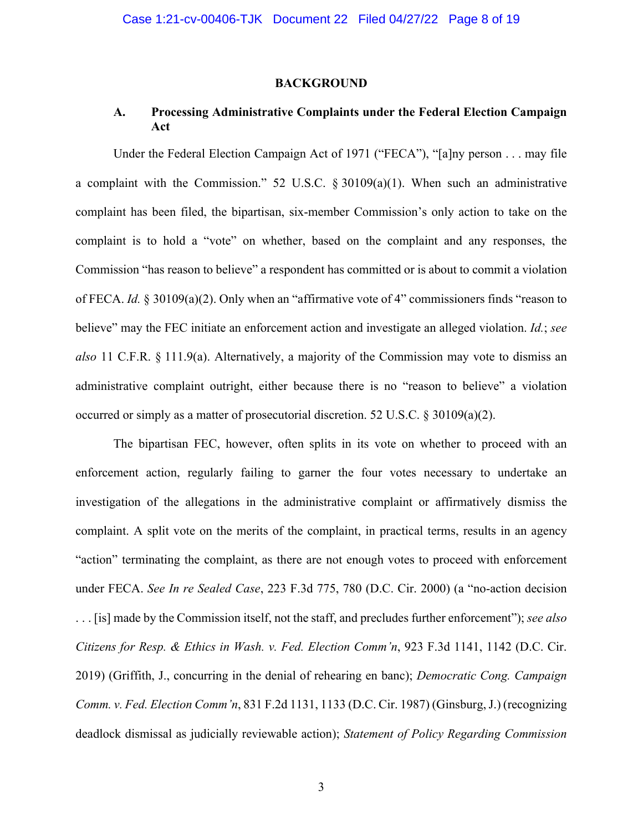#### **BACKGROUND**

### <span id="page-7-0"></span>**A. Processing Administrative Complaints under the Federal Election Campaign Act**

Under the Federal Election Campaign Act of 1971 ("FECA"), "[a]ny person . . . may file a complaint with the Commission." 52 U.S.C. § 30109(a)(1). When such an administrative complaint has been filed, the bipartisan, six-member Commission's only action to take on the complaint is to hold a "vote" on whether, based on the complaint and any responses, the Commission "has reason to believe" a respondent has committed or is about to commit a violation of FECA. *Id.* § 30109(a)(2). Only when an "affirmative vote of 4" commissioners finds "reason to believe" may the FEC initiate an enforcement action and investigate an alleged violation. *Id.*; *see also* 11 C.F.R. § 111.9(a). Alternatively, a majority of the Commission may vote to dismiss an administrative complaint outright, either because there is no "reason to believe" a violation occurred or simply as a matter of prosecutorial discretion. 52 U.S.C. § 30109(a)(2).

The bipartisan FEC, however, often splits in its vote on whether to proceed with an enforcement action, regularly failing to garner the four votes necessary to undertake an investigation of the allegations in the administrative complaint or affirmatively dismiss the complaint. A split vote on the merits of the complaint, in practical terms, results in an agency "action" terminating the complaint, as there are not enough votes to proceed with enforcement under FECA. *See In re Sealed Case*, 223 F.3d 775, 780 (D.C. Cir. 2000) (a "no-action decision . . . [is] made by the Commission itself, not the staff, and precludes further enforcement"); *see also Citizens for Resp. & Ethics in Wash. v. Fed. Election Comm'n*, 923 F.3d 1141, 1142 (D.C. Cir. 2019) (Griffith, J., concurring in the denial of rehearing en banc); *Democratic Cong. Campaign Comm. v. Fed. Election Comm'n*, 831 F.2d 1131, 1133 (D.C. Cir. 1987) (Ginsburg, J.) (recognizing deadlock dismissal as judicially reviewable action); *Statement of Policy Regarding Commission*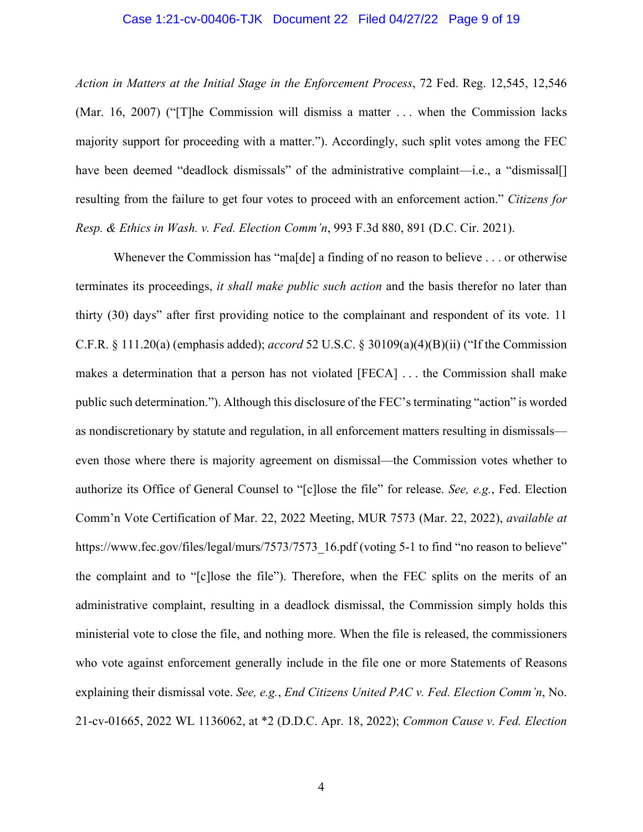#### Case 1:21-cv-00406-TJK Document 22 Filed 04/27/22 Page 9 of 19

*Action in Matters at the Initial Stage in the Enforcement Process*, 72 Fed. Reg. 12,545, 12,546 (Mar. 16, 2007) ("[T]he Commission will dismiss a matter . . . when the Commission lacks majority support for proceeding with a matter."). Accordingly, such split votes among the FEC have been deemed "deadlock dismissals" of the administrative complaint—i.e., a "dismissal[] resulting from the failure to get four votes to proceed with an enforcement action." *Citizens for Resp. & Ethics in Wash. v. Fed. Election Comm'n*, 993 F.3d 880, 891 (D.C. Cir. 2021).

Whenever the Commission has "ma[de] a finding of no reason to believe . . . or otherwise terminates its proceedings, *it shall make public such action* and the basis therefor no later than thirty (30) days" after first providing notice to the complainant and respondent of its vote. 11 C.F.R. § 111.20(a) (emphasis added); *accord* 52 U.S.C. § 30109(a)(4)(B)(ii) ("If the Commission makes a determination that a person has not violated [FECA] . . . the Commission shall make public such determination."). Although this disclosure of the FEC's terminating "action" is worded as nondiscretionary by statute and regulation, in all enforcement matters resulting in dismissals even those where there is majority agreement on dismissal—the Commission votes whether to authorize its Office of General Counsel to "[c]lose the file" for release. *See, e.g.*, Fed. Election Comm'n Vote Certification of Mar. 22, 2022 Meeting, MUR 7573 (Mar. 22, 2022), *available at*  [https://www.fec.gov/files/legal/murs/7573/7573\\_16.pdf](https://www.fec.gov/files/legal/murs/7573/7573_16.pdf) (voting 5-1 to find "no reason to believe" the complaint and to "[c]lose the file"). Therefore, when the FEC splits on the merits of an administrative complaint, resulting in a deadlock dismissal, the Commission simply holds this ministerial vote to close the file, and nothing more. When the file is released, the commissioners who vote against enforcement generally include in the file one or more Statements of Reasons explaining their dismissal vote. *See, e.g.*, *End Citizens United PAC v. Fed. Election Comm'n*, No. 21-cv-01665, 2022 WL 1136062, at \*2 (D.D.C. Apr. 18, 2022); *Common Cause v. Fed. Election*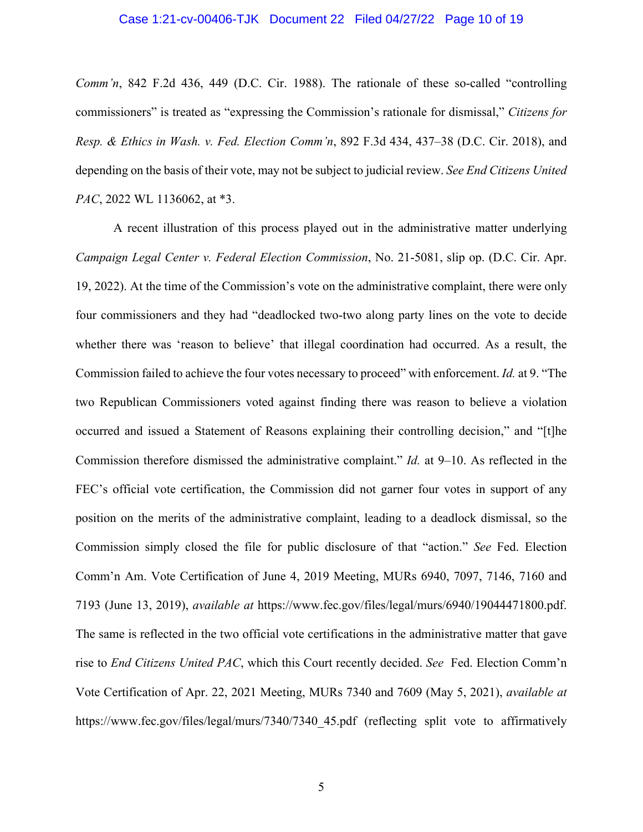#### Case 1:21-cv-00406-TJK Document 22 Filed 04/27/22 Page 10 of 19

<span id="page-9-0"></span>*Comm'n*, 842 F.2d 436, 449 (D.C. Cir. 1988). The rationale of these so-called "controlling commissioners" is treated as "expressing the Commission's rationale for dismissal," *Citizens for Resp. & Ethics in Wash. v. Fed. Election Comm'n*, 892 F.3d 434, 437–38 (D.C. Cir. 2018), and depending on the basis of their vote, may not be subject to judicial review. *See End Citizens United PAC*, 2022 WL 1136062, at \*3.

A recent illustration of this process played out in the administrative matter underlying *Campaign Legal Center v. Federal Election Commission*, No. 21-5081, slip op. (D.C. Cir. Apr. 19, 2022). At the time of the Commission's vote on the administrative complaint, there were only four commissioners and they had "deadlocked two-two along party lines on the vote to decide whether there was 'reason to believe' that illegal coordination had occurred. As a result, the Commission failed to achieve the four votes necessary to proceed" with enforcement. *Id.* at 9. "The two Republican Commissioners voted against finding there was reason to believe a violation occurred and issued a Statement of Reasons explaining their controlling decision," and "[t]he Commission therefore dismissed the administrative complaint." *Id.* at 9–10. As reflected in the FEC's official vote certification, the Commission did not garner four votes in support of any position on the merits of the administrative complaint, leading to a deadlock dismissal, so the Commission simply closed the file for public disclosure of that "action." *See* Fed. Election Comm'n Am. Vote Certification of June 4, 2019 Meeting, MURs 6940, 7097, 7146, 7160 and 7193 (June 13, 2019), *available at* [https://www.fec.gov/files/legal/murs/6940/19044471800.pdf.](https://www.fec.gov/files/legal/murs/6940/19044471800.pdf) The same is reflected in the two official vote certifications in the administrative matter that gave rise to *End Citizens United PAC*, which this Court recently decided. *See* Fed. Election Comm'n Vote Certification of Apr. 22, 2021 Meeting, MURs 7340 and 7609 (May 5, 2021), *available at*  https://www.fec.gov/files/legal/murs/7340/7340 45.pdf (reflecting split vote to affirmatively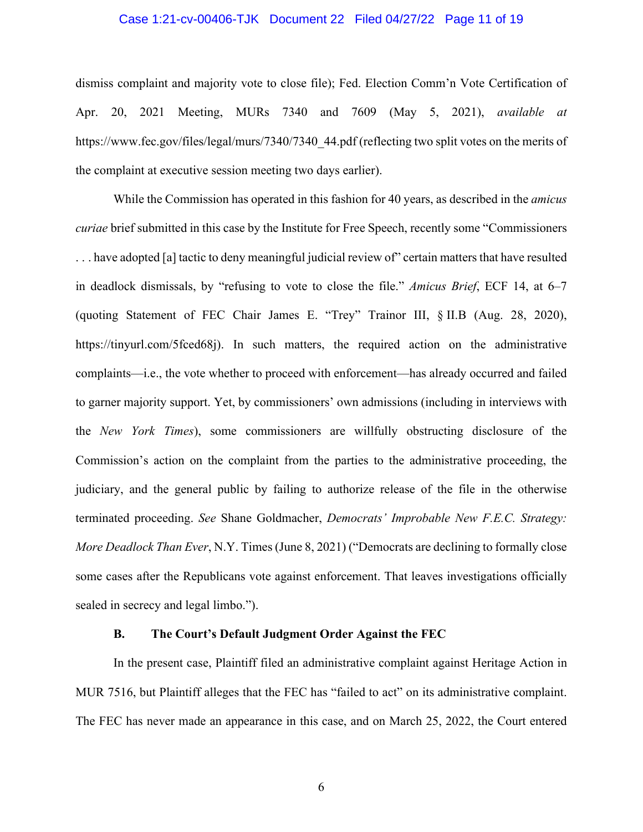#### Case 1:21-cv-00406-TJK Document 22 Filed 04/27/22 Page 11 of 19

dismiss complaint and majority vote to close file); Fed. Election Comm'n Vote Certification of Apr. 20, 2021 Meeting, MURs 7340 and 7609 (May 5, 2021), *available at*  https://www.fec.gov/files/legal/murs/7340/7340 44.pdf (reflecting two split votes on the merits of the complaint at executive session meeting two days earlier).

While the Commission has operated in this fashion for 40 years, as described in the *amicus curiae* brief submitted in this case by the Institute for Free Speech, recently some "Commissioners . . . have adopted [a] tactic to deny meaningful judicial review of" certain matters that have resulted in deadlock dismissals, by "refusing to vote to close the file." *Amicus Brief*, ECF 14, at 6–7 (quoting Statement of FEC Chair James E. "Trey" Trainor III, § II.B (Aug. 28, 2020), <https://tinyurl.com/5fced68j>). In such matters, the required action on the administrative complaints—i.e., the vote whether to proceed with enforcement—has already occurred and failed to garner majority support. Yet, by commissioners' own admissions (including in interviews with the *New York Times*), some commissioners are willfully obstructing disclosure of the Commission's action on the complaint from the parties to the administrative proceeding, the judiciary, and the general public by failing to authorize release of the file in the otherwise terminated proceeding. *See* Shane Goldmacher, *Democrats' Improbable New F.E.C. Strategy: More Deadlock Than Ever*, N.Y. Times (June 8, 2021) ("Democrats are declining to formally close some cases after the Republicans vote against enforcement. That leaves investigations officially sealed in secrecy and legal limbo.").

#### **B. The Court's Default Judgment Order Against the FEC**

In the present case, Plaintiff filed an administrative complaint against Heritage Action in MUR 7516, but Plaintiff alleges that the FEC has "failed to act" on its administrative complaint. The FEC has never made an appearance in this case, and on March 25, 2022, the Court entered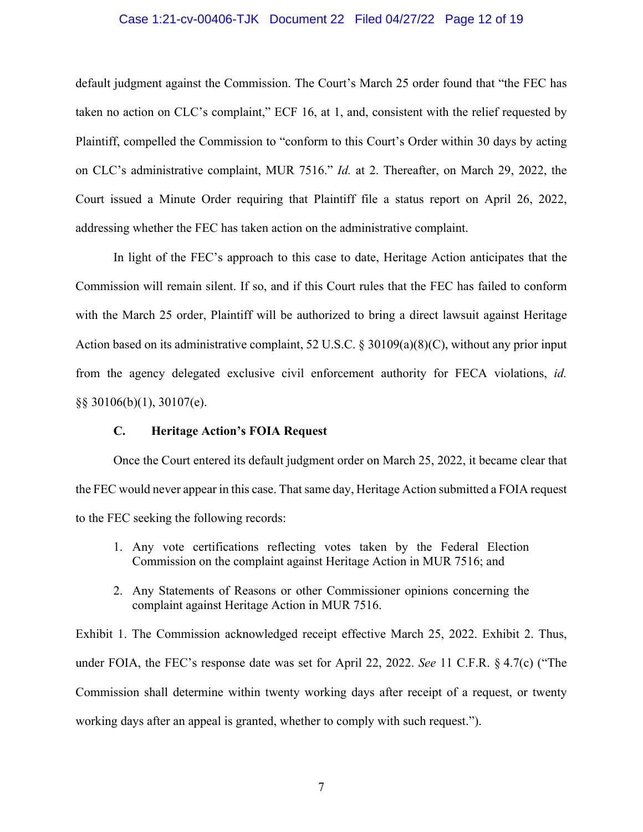#### Case 1:21-cv-00406-TJK Document 22 Filed 04/27/22 Page 12 of 19

default judgment against the Commission. The Court's March 25 order found that "the FEC has taken no action on CLC's complaint," ECF 16, at 1, and, consistent with the relief requested by Plaintiff, compelled the Commission to "conform to this Court's Order within 30 days by acting on CLC's administrative complaint, MUR 7516." *Id.* at 2. Thereafter, on March 29, 2022, the Court issued a Minute Order requiring that Plaintiff file a status report on April 26, 2022, addressing whether the FEC has taken action on the administrative complaint.

In light of the FEC's approach to this case to date, Heritage Action anticipates that the Commission will remain silent. If so, and if this Court rules that the FEC has failed to conform with the March 25 order, Plaintiff will be authorized to bring a direct lawsuit against Heritage Action based on its administrative complaint, 52 U.S.C. § 30109(a)(8)(C), without any prior input from the agency delegated exclusive civil enforcement authority for FECA violations, *id.*  §§ 30106(b)(1), 30107(e).

#### **C. Heritage Action's FOIA Request**

Once the Court entered its default judgment order on March 25, 2022, it became clear that the FEC would never appear in this case. That same day, Heritage Action submitted a FOIA request to the FEC seeking the following records:

- 1. Any vote certifications reflecting votes taken by the Federal Election Commission on the complaint against Heritage Action in MUR 7516; and
- 2. Any Statements of Reasons or other Commissioner opinions concerning the complaint against Heritage Action in MUR 7516.

Exhibit 1. The Commission acknowledged receipt effective March 25, 2022. Exhibit 2. Thus, under FOIA, the FEC's response date was set for April 22, 2022. *See* 11 C.F.R. § 4.7(c) ("The Commission shall determine within twenty working days after receipt of a request, or twenty working days after an appeal is granted, whether to comply with such request.").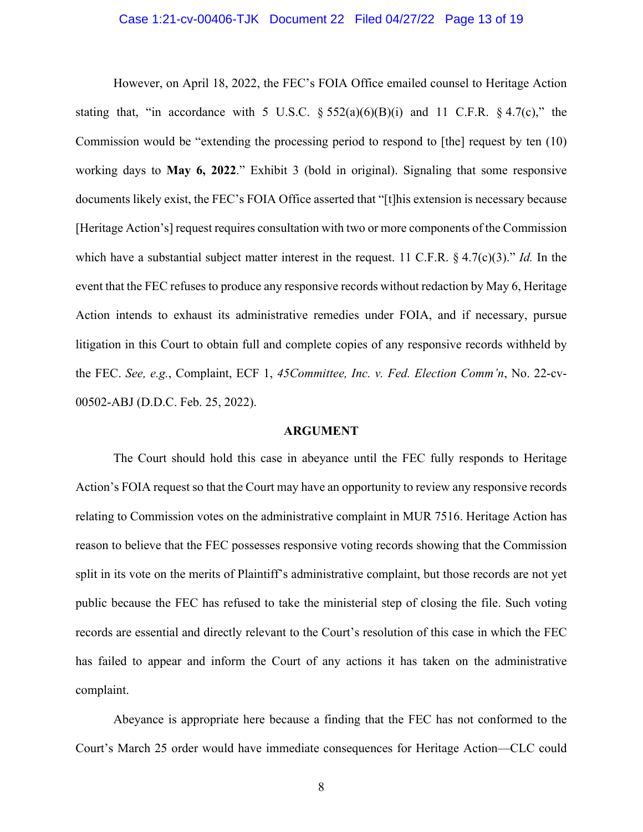#### Case 1:21-cv-00406-TJK Document 22 Filed 04/27/22 Page 13 of 19

<span id="page-12-0"></span>However, on April 18, 2022, the FEC's FOIA Office emailed counsel to Heritage Action stating that, "in accordance with 5 U.S.C.  $\S 552(a)(6)(B)(i)$  and 11 C.F.R.  $\S 4.7(c)$ ," the Commission would be "extending the processing period to respond to [the] request by ten (10) working days to **May 6, 2022**." Exhibit 3 (bold in original). Signaling that some responsive documents likely exist, the FEC's FOIA Office asserted that "[t]his extension is necessary because [Heritage Action's] request requires consultation with two or more components of the Commission which have a substantial subject matter interest in the request. 11 C.F.R. § 4.7(c)(3)." *Id.* In the event that the FEC refuses to produce any responsive records without redaction by May 6, Heritage Action intends to exhaust its administrative remedies under FOIA, and if necessary, pursue litigation in this Court to obtain full and complete copies of any responsive records withheld by the FEC. *See, e.g.*, Complaint, ECF 1, *45Committee, Inc. v. Fed. Election Comm'n*, No. 22-cv-00502-ABJ (D.D.C. Feb. 25, 2022).

#### **ARGUMENT**

The Court should hold this case in abeyance until the FEC fully responds to Heritage Action's FOIA request so that the Court may have an opportunity to review any responsive records relating to Commission votes on the administrative complaint in MUR 7516. Heritage Action has reason to believe that the FEC possesses responsive voting records showing that the Commission split in its vote on the merits of Plaintiff's administrative complaint, but those records are not yet public because the FEC has refused to take the ministerial step of closing the file. Such voting records are essential and directly relevant to the Court's resolution of this case in which the FEC has failed to appear and inform the Court of any actions it has taken on the administrative complaint.

Abeyance is appropriate here because a finding that the FEC has not conformed to the Court's March 25 order would have immediate consequences for Heritage Action—CLC could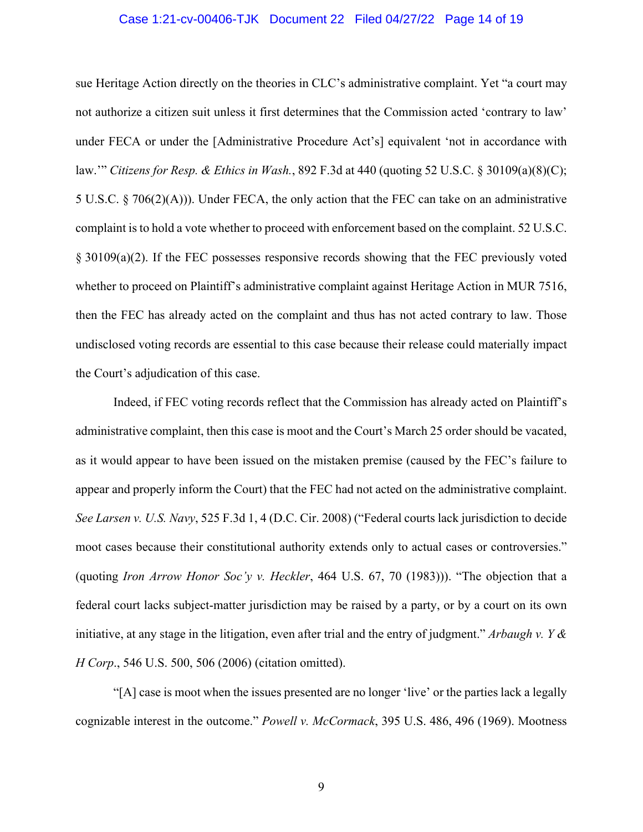#### Case 1:21-cv-00406-TJK Document 22 Filed 04/27/22 Page 14 of 19

<span id="page-13-0"></span>sue Heritage Action directly on the theories in CLC's administrative complaint. Yet "a court may not authorize a citizen suit unless it first determines that the Commission acted 'contrary to law' under FECA or under the [Administrative Procedure Act's] equivalent 'not in accordance with law.'" *Citizens for Resp. & Ethics in Wash.*, 892 F.3d at 440 (quoting 52 U.S.C. § 30109(a)(8)(C); 5 U.S.C. § 706(2)(A))). Under FECA, the only action that the FEC can take on an administrative complaint is to hold a vote whether to proceed with enforcement based on the complaint. 52 U.S.C. § 30109(a)(2). If the FEC possesses responsive records showing that the FEC previously voted whether to proceed on Plaintiff's administrative complaint against Heritage Action in MUR 7516, then the FEC has already acted on the complaint and thus has not acted contrary to law. Those undisclosed voting records are essential to this case because their release could materially impact the Court's adjudication of this case.

Indeed, if FEC voting records reflect that the Commission has already acted on Plaintiff's administrative complaint, then this case is moot and the Court's March 25 order should be vacated, as it would appear to have been issued on the mistaken premise (caused by the FEC's failure to appear and properly inform the Court) that the FEC had not acted on the administrative complaint. *See Larsen v. U.S. Navy*, 525 F.3d 1, 4 (D.C. Cir. 2008) ("Federal courts lack jurisdiction to decide moot cases because their constitutional authority extends only to actual cases or controversies." (quoting *Iron Arrow Honor Soc'y v. Heckler*, 464 U.S. 67, 70 (1983))). "The objection that a federal court lacks subject-matter jurisdiction may be raised by a party, or by a court on its own initiative, at any stage in the litigation, even after trial and the entry of judgment." *Arbaugh v. Y & H Corp*., 546 U.S. 500, 506 (2006) (citation omitted).

"[A] case is moot when the issues presented are no longer 'live' or the parties lack a legally cognizable interest in the outcome." *Powell v. McCormack*, 395 U.S. 486, 496 (1969). Mootness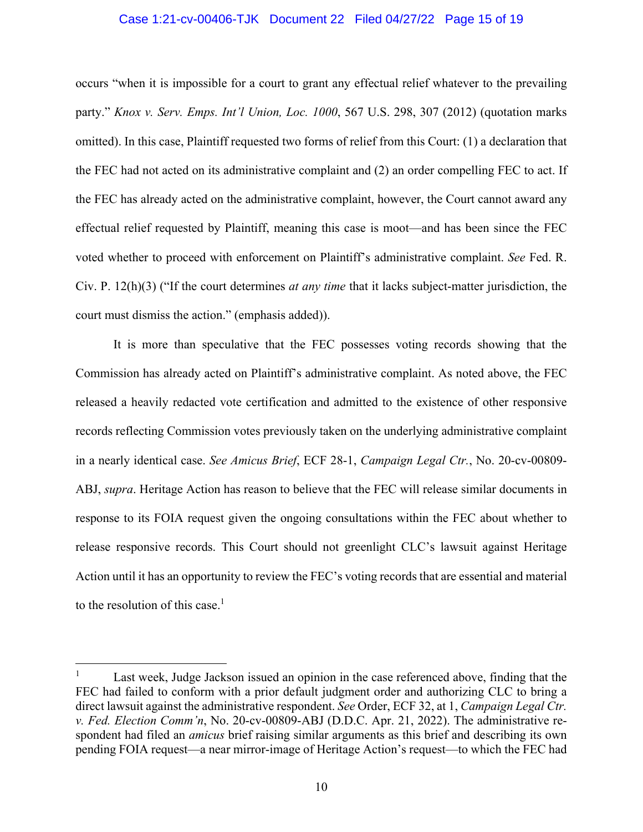#### Case 1:21-cv-00406-TJK Document 22 Filed 04/27/22 Page 15 of 19

<span id="page-14-0"></span>occurs "when it is impossible for a court to grant any effectual relief whatever to the prevailing party." *Knox v. Serv. Emps. Int'l Union, Loc. 1000*, 567 U.S. 298, 307 (2012) (quotation marks omitted). In this case, Plaintiff requested two forms of relief from this Court: (1) a declaration that the FEC had not acted on its administrative complaint and (2) an order compelling FEC to act. If the FEC has already acted on the administrative complaint, however, the Court cannot award any effectual relief requested by Plaintiff, meaning this case is moot—and has been since the FEC voted whether to proceed with enforcement on Plaintiff's administrative complaint. *See* Fed. R. Civ. P. 12(h)(3) ("If the court determines *at any time* that it lacks subject-matter jurisdiction, the court must dismiss the action." (emphasis added)).

It is more than speculative that the FEC possesses voting records showing that the Commission has already acted on Plaintiff's administrative complaint. As noted above, the FEC released a heavily redacted vote certification and admitted to the existence of other responsive records reflecting Commission votes previously taken on the underlying administrative complaint in a nearly identical case. *See Amicus Brief*, ECF 28-1, *Campaign Legal Ctr.*, No. 20-cv-00809- ABJ, *supra*. Heritage Action has reason to believe that the FEC will release similar documents in response to its FOIA request given the ongoing consultations within the FEC about whether to release responsive records. This Court should not greenlight CLC's lawsuit against Heritage Action until it has an opportunity to review the FEC's voting records that are essential and material to the resolution of this case.<sup>1</sup>

 1 Last week, Judge Jackson issued an opinion in the case referenced above, finding that the FEC had failed to conform with a prior default judgment order and authorizing CLC to bring a direct lawsuit against the administrative respondent. *See* Order, ECF 32, at 1, *Campaign Legal Ctr. v. Fed. Election Comm'n*, No. 20-cv-00809-ABJ (D.D.C. Apr. 21, 2022). The administrative respondent had filed an *amicus* brief raising similar arguments as this brief and describing its own pending FOIA request—a near mirror-image of Heritage Action's request—to which the FEC had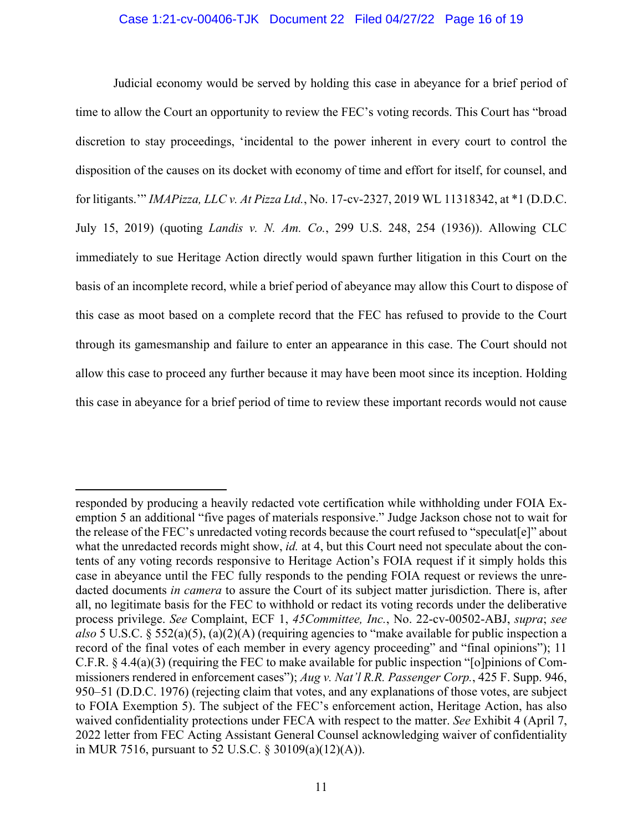#### Case 1:21-cv-00406-TJK Document 22 Filed 04/27/22 Page 16 of 19

<span id="page-15-0"></span>Judicial economy would be served by holding this case in abeyance for a brief period of time to allow the Court an opportunity to review the FEC's voting records. This Court has "broad discretion to stay proceedings, 'incidental to the power inherent in every court to control the disposition of the causes on its docket with economy of time and effort for itself, for counsel, and for litigants.'" *IMAPizza, LLC v. At Pizza Ltd.*, No. 17-cv-2327, 2019 WL 11318342, at \*1 (D.D.C. July 15, 2019) (quoting *Landis v. N. Am. Co.*, 299 U.S. 248, 254 (1936)). Allowing CLC immediately to sue Heritage Action directly would spawn further litigation in this Court on the basis of an incomplete record, while a brief period of abeyance may allow this Court to dispose of this case as moot based on a complete record that the FEC has refused to provide to the Court through its gamesmanship and failure to enter an appearance in this case. The Court should not allow this case to proceed any further because it may have been moot since its inception. Holding this case in abeyance for a brief period of time to review these important records would not cause

responded by producing a heavily redacted vote certification while withholding under FOIA Exemption 5 an additional "five pages of materials responsive." Judge Jackson chose not to wait for the release of the FEC's unredacted voting records because the court refused to "speculat[e]" about what the unredacted records might show, *id.* at 4, but this Court need not speculate about the contents of any voting records responsive to Heritage Action's FOIA request if it simply holds this case in abeyance until the FEC fully responds to the pending FOIA request or reviews the unredacted documents *in camera* to assure the Court of its subject matter jurisdiction. There is, after all, no legitimate basis for the FEC to withhold or redact its voting records under the deliberative process privilege. *See* Complaint, ECF 1, *45Committee, Inc.*, No. 22-cv-00502-ABJ, *supra*; *see also* 5 U.S.C. § 552(a)(5), (a)(2)(A) (requiring agencies to "make available for public inspection a record of the final votes of each member in every agency proceeding" and "final opinions"); 11 C.F.R. § 4.4(a)(3) (requiring the FEC to make available for public inspection "[o]pinions of Commissioners rendered in enforcement cases"); *Aug v. Nat'l R.R. Passenger Corp.*, 425 F. Supp. 946, 950–51 (D.D.C. 1976) (rejecting claim that votes, and any explanations of those votes, are subject to FOIA Exemption 5). The subject of the FEC's enforcement action, Heritage Action, has also waived confidentiality protections under FECA with respect to the matter. *See* Exhibit 4 (April 7, 2022 letter from FEC Acting Assistant General Counsel acknowledging waiver of confidentiality in MUR 7516, pursuant to 52 U.S.C. § 30109(a)(12)(A)).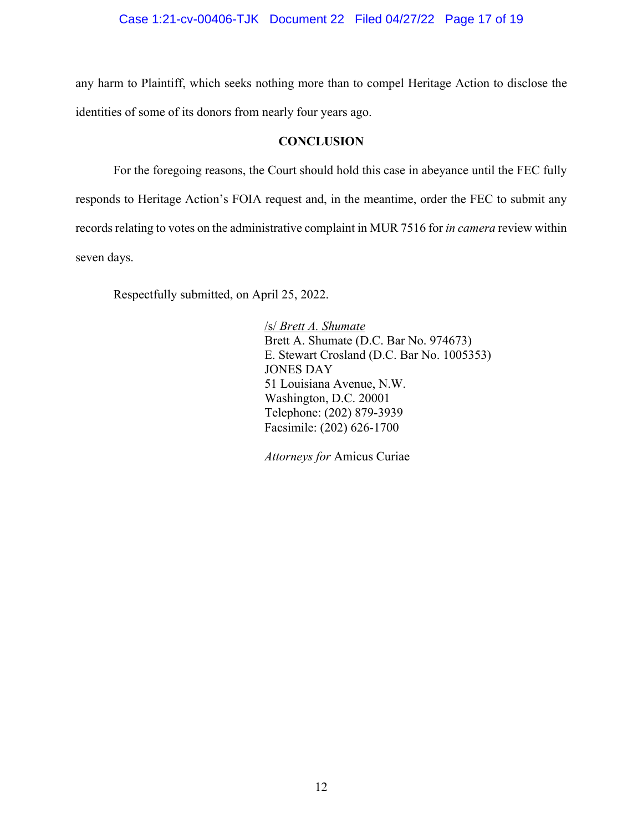<span id="page-16-0"></span>any harm to Plaintiff, which seeks nothing more than to compel Heritage Action to disclose the identities of some of its donors from nearly four years ago.

### **CONCLUSION**

For the foregoing reasons, the Court should hold this case in abeyance until the FEC fully responds to Heritage Action's FOIA request and, in the meantime, order the FEC to submit any records relating to votes on the administrative complaint in MUR 7516 for *in camera* review within seven days.

Respectfully submitted, on April 25, 2022.

 /s/ *Brett A. Shumate* Brett A. Shumate (D.C. Bar No. 974673) E. Stewart Crosland (D.C. Bar No. 1005353) JONES DAY 51 Louisiana Avenue, N.W. Washington, D.C. 20001 Telephone: (202) 879-3939 Facsimile: (202) 626-1700

*Attorneys for* Amicus Curiae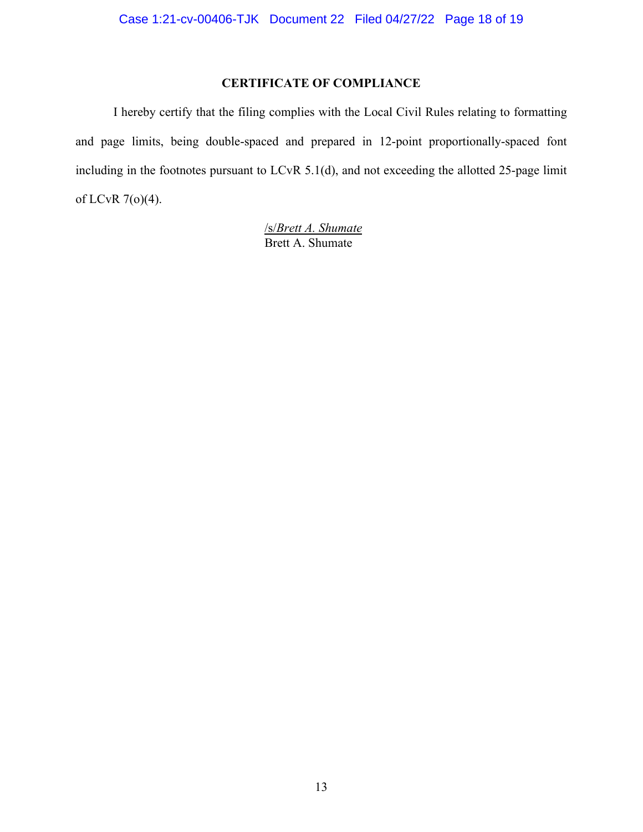# **CERTIFICATE OF COMPLIANCE**

I hereby certify that the filing complies with the Local Civil Rules relating to formatting and page limits, being double-spaced and prepared in 12-point proportionally-spaced font including in the footnotes pursuant to LCvR 5.1(d), and not exceeding the allotted 25-page limit of LCvR 7(o)(4).

> /s/*Brett A. Shumate* Brett A. Shumate